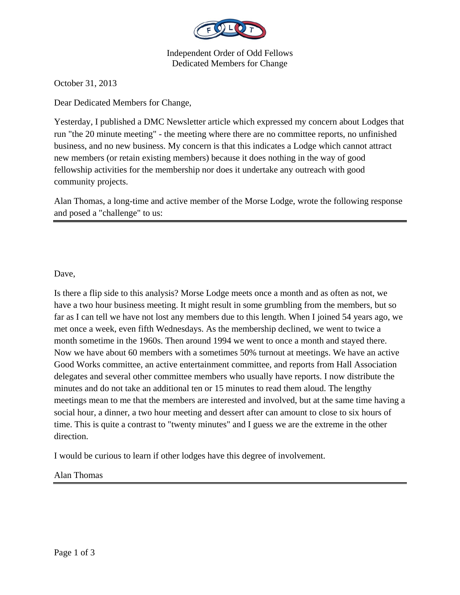

Independent Order of Odd Fellows Dedicated Members for Change

October 31, 2013

Dear Dedicated Members for Change,

Yesterday, I published a DMC Newsletter article which expressed my concern about Lodges that run "the 20 minute meeting" - the meeting where there are no committee reports, no unfinished business, and no new business. My concern is that this indicates a Lodge which cannot attract new members (or retain existing members) because it does nothing in the way of good fellowship activities for the membership nor does it undertake any outreach with good community projects.

Alan Thomas, a long-time and active member of the Morse Lodge, wrote the following response and posed a "challenge" to us:

## Dave,

Is there a flip side to this analysis? Morse Lodge meets once a month and as often as not, we have a two hour business meeting. It might result in some grumbling from the members, but so far as I can tell we have not lost any members due to this length. When I joined 54 years ago, we met once a week, even fifth Wednesdays. As the membership declined, we went to twice a month sometime in the 1960s. Then around 1994 we went to once a month and stayed there. Now we have about 60 members with a sometimes 50% turnout at meetings. We have an active Good Works committee, an active entertainment committee, and reports from Hall Association delegates and several other committee members who usually have reports. I now distribute the minutes and do not take an additional ten or 15 minutes to read them aloud. The lengthy meetings mean to me that the members are interested and involved, but at the same time having a social hour, a dinner, a two hour meeting and dessert after can amount to close to six hours of time. This is quite a contrast to "twenty minutes" and I guess we are the extreme in the other direction.

I would be curious to learn if other lodges have this degree of involvement.

Alan Thomas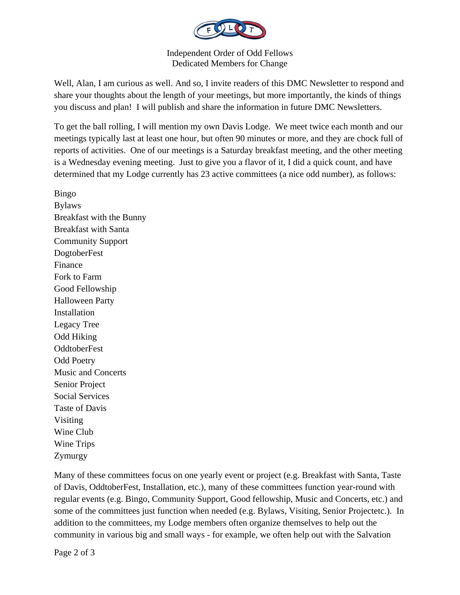

## Independent Order of Odd Fellows Dedicated Members for Change

Well, Alan, I am curious as well. And so, I invite readers of this DMC Newsletter to respond and share your thoughts about the length of your meetings, but more importantly, the kinds of things you discuss and plan! I will publish and share the information in future DMC Newsletters.

To get the ball rolling, I will mention my own Davis Lodge. We meet twice each month and our meetings typically last at least one hour, but often 90 minutes or more, and they are chock full of reports of activities. One of our meetings is a Saturday breakfast meeting, and the other meeting is a Wednesday evening meeting. Just to give you a flavor of it, I did a quick count, and have determined that my Lodge currently has 23 active committees (a nice odd number), as follows:

Bingo Bylaws Breakfast with the Bunny Breakfast with Santa Community Support DogtoberFest Finance Fork to Farm Good Fellowship Halloween Party Installation Legacy Tree Odd Hiking **OddtoberFest** Odd Poetry Music and Concerts Senior Project Social Services Taste of Davis Visiting Wine Club Wine Trips Zymurgy

Many of these committees focus on one yearly event or project (e.g. Breakfast with Santa, Taste of Davis, OddtoberFest, Installation, etc.), many of these committees function year-round with regular events (e.g. Bingo, Community Support, Good fellowship, Music and Concerts, etc.) and some of the committees just function when needed (e.g. Bylaws, Visiting, Senior Projectetc.). In addition to the committees, my Lodge members often organize themselves to help out the community in various big and small ways - for example, we often help out with the Salvation

Page 2 of 3